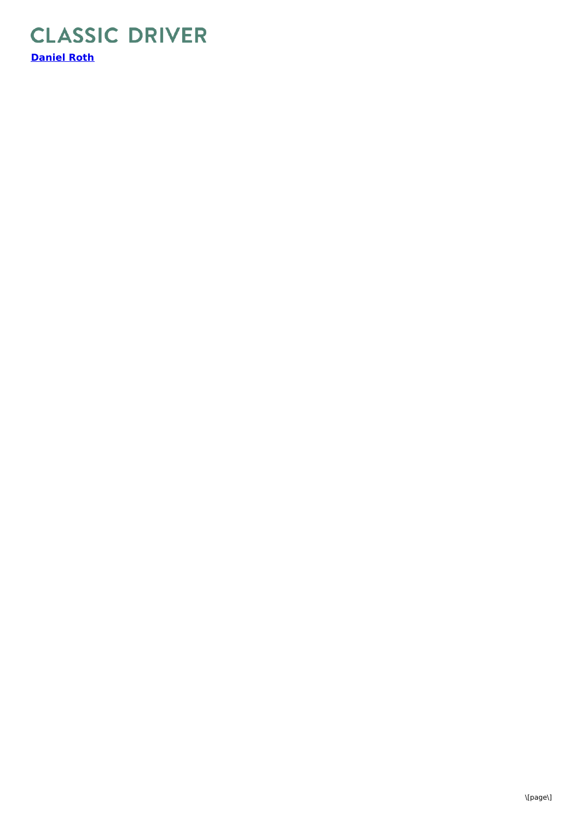